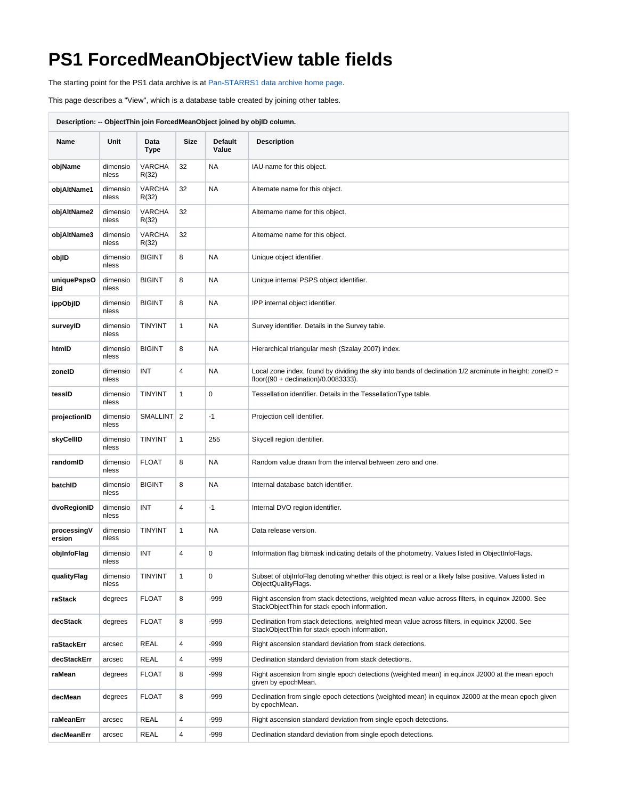## **PS1 ForcedMeanObjectView table fields**

The starting point for the PS1 data archive is at [Pan-STARRS1 data archive home page](https://outerspace.stsci.edu/display/PANSTARRS/Pan-STARRS1+data+archive+home+page).

This page describes a "View", which is a database table created by joining other tables.

| Description: -- ObjectThin join ForcedMeanObject joined by objlD column. |                   |                        |      |                  |                                                                                                                                                              |  |
|--------------------------------------------------------------------------|-------------------|------------------------|------|------------------|--------------------------------------------------------------------------------------------------------------------------------------------------------------|--|
| Name                                                                     | Unit              | Data<br>Type           | Size | Default<br>Value | <b>Description</b>                                                                                                                                           |  |
| objName                                                                  | dimensio<br>nless | <b>VARCHA</b><br>R(32) | 32   | NA               | IAU name for this object.                                                                                                                                    |  |
| objAltName1                                                              | dimensio<br>nless | <b>VARCHA</b><br>R(32) | 32   | NA               | Alternate name for this object.                                                                                                                              |  |
| objAltName2                                                              | dimensio<br>nless | <b>VARCHA</b><br>R(32) | 32   |                  | Altername name for this object.                                                                                                                              |  |
| objAltName3                                                              | dimensio<br>nless | <b>VARCHA</b><br>R(32) | 32   |                  | Altername name for this object.                                                                                                                              |  |
| objlD                                                                    | dimensio<br>nless | <b>BIGINT</b>          | 8    | NA               | Unique object identifier.                                                                                                                                    |  |
| uniquePspsO<br>Bid                                                       | dimensio<br>nless | <b>BIGINT</b>          | 8    | NA               | Unique internal PSPS object identifier.                                                                                                                      |  |
| ippObjID                                                                 | dimensio<br>nless | <b>BIGINT</b>          | 8    | NA               | IPP internal object identifier.                                                                                                                              |  |
| surveyID                                                                 | dimensio<br>nless | <b>TINYINT</b>         | 1    | NA               | Survey identifier. Details in the Survey table.                                                                                                              |  |
| htmlD                                                                    | dimensio<br>nless | <b>BIGINT</b>          | 8    | NA               | Hierarchical triangular mesh (Szalay 2007) index.                                                                                                            |  |
| zonelD                                                                   | dimensio<br>nless | INT                    | 4    | NA               | Local zone index, found by dividing the sky into bands of declination $1/2$ arcminute in height: zoneID =<br>floor( $(90 + \text{declination})/0.0083333$ ). |  |
| tessID                                                                   | dimensio<br>nless | <b>TINYINT</b>         | 1    | 0                | Tessellation identifier. Details in the Tessellation Type table.                                                                                             |  |
| projectionID                                                             | dimensio<br>nless | SMALLINT 2             |      | $-1$             | Projection cell identifier.                                                                                                                                  |  |
| skyCellID                                                                | dimensio<br>nless | TINYINT                | 1    | 255              | Skycell region identifier.                                                                                                                                   |  |
| randomID                                                                 | dimensio<br>nless | <b>FLOAT</b>           | 8    | NA               | Random value drawn from the interval between zero and one.                                                                                                   |  |
| batchID                                                                  | dimensio<br>nless | <b>BIGINT</b>          | 8    | NA               | Internal database batch identifier.                                                                                                                          |  |
| dvoRegionID                                                              | dimensio<br>nless | INT                    | 4    | -1               | Internal DVO region identifier.                                                                                                                              |  |
| processingV<br>ersion                                                    | dimensio<br>nless | <b>TINYINT</b>         | 1    | NA               | Data release version.                                                                                                                                        |  |
| objInfoFlag                                                              | dimensio<br>nless | INT                    | 4    | 0                | Information flag bitmask indicating details of the photometry. Values listed in ObjectInfoFlags.                                                             |  |
| qualityFlag                                                              | dimensio<br>nless | TINYINT                | 1    | 0                | Subset of objinfoFlag denoting whether this object is real or a likely false positive. Values listed in<br>ObjectQualityFlags.                               |  |
| raStack                                                                  | degrees           | <b>FLOAT</b>           | 8    | $-999$           | Right ascension from stack detections, weighted mean value across filters, in equinox J2000. See<br>StackObjectThin for stack epoch information.             |  |
| decStack                                                                 | degrees           | <b>FLOAT</b>           | 8    | $-999$           | Declination from stack detections, weighted mean value across filters, in equinox J2000. See<br>StackObjectThin for stack epoch information.                 |  |
| raStackErr                                                               | arcsec            | REAL                   | 4    | $-999$           | Right ascension standard deviation from stack detections.                                                                                                    |  |
| decStackErr                                                              | arcsec            | REAL                   | 4    | $-999$           | Declination standard deviation from stack detections.                                                                                                        |  |
| raMean                                                                   | degrees           | <b>FLOAT</b>           | 8    | $-999$           | Right ascension from single epoch detections (weighted mean) in equinox J2000 at the mean epoch<br>given by epochMean.                                       |  |
| decMean                                                                  | degrees           | <b>FLOAT</b>           | 8    | $-999$           | Declination from single epoch detections (weighted mean) in equinox J2000 at the mean epoch given<br>by epochMean.                                           |  |
| raMeanErr                                                                | arcsec            | <b>REAL</b>            | 4    | $-999$           | Right ascension standard deviation from single epoch detections.                                                                                             |  |
| decMeanErr                                                               | arcsec            | REAL                   | 4    | -999             | Declination standard deviation from single epoch detections.                                                                                                 |  |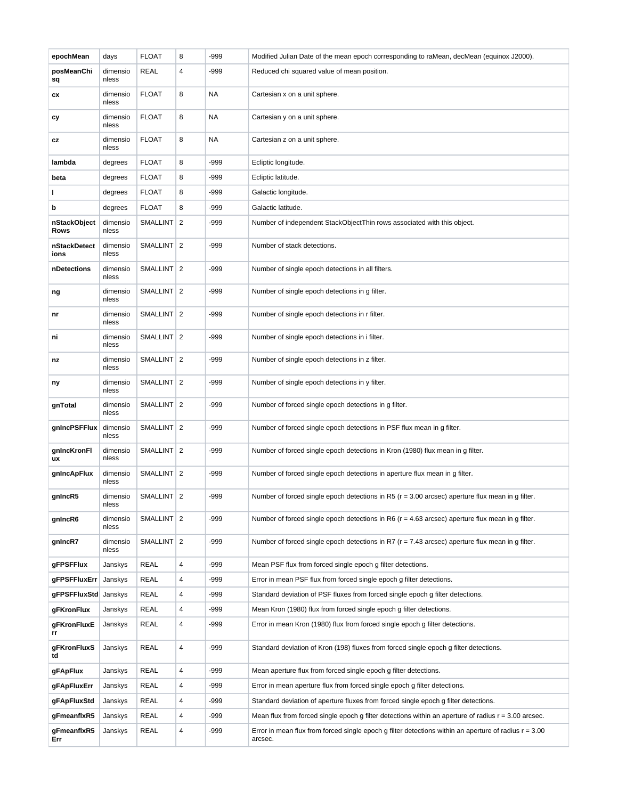| epochMean            | days              | <b>FLOAT</b> | 8 | -999 | Modified Julian Date of the mean epoch corresponding to raMean, decMean (equinox J2000).                           |
|----------------------|-------------------|--------------|---|------|--------------------------------------------------------------------------------------------------------------------|
| posMeanChi<br>sq     | dimensio<br>nless | <b>REAL</b>  | 4 | -999 | Reduced chi squared value of mean position.                                                                        |
| СX                   | dimensio<br>nless | <b>FLOAT</b> | 8 | NA   | Cartesian x on a unit sphere.                                                                                      |
| сy                   | dimensio<br>nless | <b>FLOAT</b> | 8 | NA   | Cartesian y on a unit sphere.                                                                                      |
| СZ                   | dimensio<br>nless | <b>FLOAT</b> | 8 | NA   | Cartesian z on a unit sphere.                                                                                      |
| lambda               | degrees           | <b>FLOAT</b> | 8 | -999 | Ecliptic longitude.                                                                                                |
| beta                 | degrees           | <b>FLOAT</b> | 8 | -999 | Ecliptic latitude.                                                                                                 |
|                      | degrees           | <b>FLOAT</b> | 8 | -999 | Galactic longitude.                                                                                                |
| b                    | degrees           | <b>FLOAT</b> | 8 | -999 | Galactic latitude.                                                                                                 |
| nStackObject<br>Rows | dimensio<br>nless | SMALLINT 2   |   | -999 | Number of independent StackObjectThin rows associated with this object.                                            |
| nStackDetect<br>ions | dimensio<br>nless | SMALLINT 2   |   | -999 | Number of stack detections.                                                                                        |
| nDetections          | dimensio<br>nless | SMALLINT 2   |   | -999 | Number of single epoch detections in all filters.                                                                  |
| ng                   | dimensio<br>nless | SMALLINT 2   |   | -999 | Number of single epoch detections in g filter.                                                                     |
| nr                   | dimensio<br>nless | SMALLINT 2   |   | -999 | Number of single epoch detections in r filter.                                                                     |
| ni                   | dimensio<br>nless | SMALLINT 2   |   | -999 | Number of single epoch detections in i filter.                                                                     |
| nz                   | dimensio<br>nless | SMALLINT   2 |   | -999 | Number of single epoch detections in z filter.                                                                     |
| ny                   | dimensio<br>nless | SMALLINT   2 |   | -999 | Number of single epoch detections in y filter.                                                                     |
| gnTotal              | dimensio<br>nless | SMALLINT 2   |   | -999 | Number of forced single epoch detections in g filter.                                                              |
| gnIncPSFFlux         | dimensio<br>nless | SMALLINT 2   |   | -999 | Number of forced single epoch detections in PSF flux mean in g filter.                                             |
| gnincKronFi<br>ux    | dimensio<br>nless | SMALLINT 2   |   | -999 | Number of forced single epoch detections in Kron (1980) flux mean in g filter.                                     |
| gnIncApFlux          | dimensio<br>nless | SMALLINT   2 |   | -999 | Number of forced single epoch detections in aperture flux mean in g filter.                                        |
| gnIncR5              | dimensio<br>nless | SMALLINT 2   |   | -999 | Number of forced single epoch detections in R5 ( $r = 3.00$ arcsec) aperture flux mean in g filter.                |
| gnIncR6              | dimensio<br>nless | SMALLINT 2   |   | -999 | Number of forced single epoch detections in R6 ( $r = 4.63$ arcsec) aperture flux mean in g filter.                |
| gnIncR7              | dimensio<br>nless | SMALLINT 2   |   | -999 | Number of forced single epoch detections in R7 ( $r = 7.43$ arcsec) aperture flux mean in g filter.                |
| gFPSFFlux            | Janskys           | <b>REAL</b>  | 4 | -999 | Mean PSF flux from forced single epoch g filter detections.                                                        |
| <b>gFPSFFluxErr</b>  | Janskys           | <b>REAL</b>  | 4 | -999 | Error in mean PSF flux from forced single epoch g filter detections.                                               |
| gFPSFFluxStd Janskys |                   | <b>REAL</b>  | 4 | -999 | Standard deviation of PSF fluxes from forced single epoch g filter detections.                                     |
| gFKronFlux           | Janskys           | <b>REAL</b>  | 4 | -999 | Mean Kron (1980) flux from forced single epoch g filter detections.                                                |
| gFKronFluxE<br>rr    | Janskys           | <b>REAL</b>  | 4 | -999 | Error in mean Kron (1980) flux from forced single epoch g filter detections.                                       |
| gFKronFluxS<br>td    | Janskys           | <b>REAL</b>  | 4 | -999 | Standard deviation of Kron (198) fluxes from forced single epoch g filter detections.                              |
| <b>gFApFlux</b>      | Janskys           | <b>REAL</b>  | 4 | -999 | Mean aperture flux from forced single epoch g filter detections.                                                   |
| gFApFluxErr          | Janskys           | <b>REAL</b>  | 4 | -999 | Error in mean aperture flux from forced single epoch g filter detections.                                          |
| gFApFluxStd          | Janskys           | <b>REAL</b>  | 4 | -999 | Standard deviation of aperture fluxes from forced single epoch g filter detections.                                |
| gFmeanflxR5          | Janskys           | <b>REAL</b>  | 4 | -999 | Mean flux from forced single epoch g filter detections within an aperture of radius $r = 3.00$ arcsec.             |
| gFmeanflxR5<br>Err   | Janskys           | REAL         | 4 | -999 | Error in mean flux from forced single epoch g filter detections within an aperture of radius $r = 3.00$<br>arcsec. |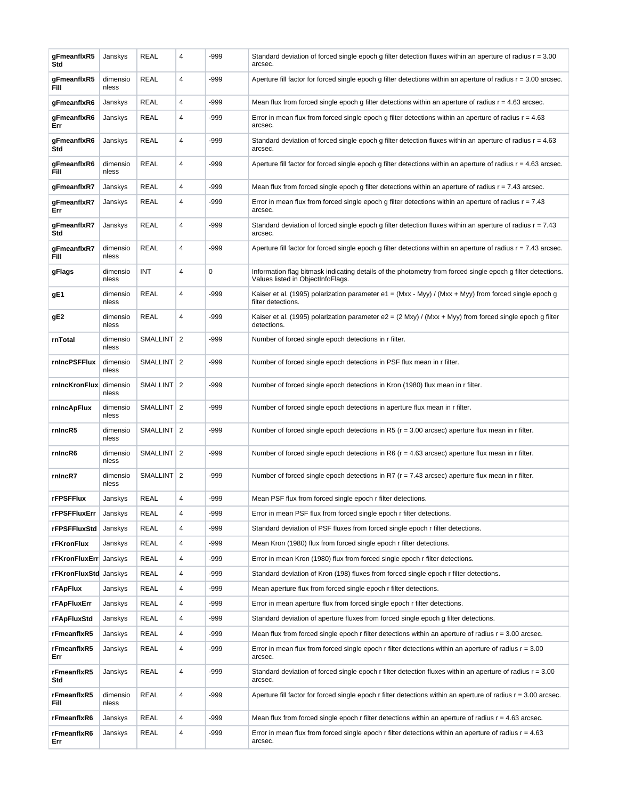| gFmeanflxR5<br>Std     | Janskys           | <b>REAL</b>     | 4              | -999   | Standard deviation of forced single epoch g filter detection fluxes within an aperture of radius $r = 3.00$<br>arcsec.                           |
|------------------------|-------------------|-----------------|----------------|--------|--------------------------------------------------------------------------------------------------------------------------------------------------|
| gFmeanflxR5<br>Fill    | dimensio<br>nless | <b>REAL</b>     | 4              | -999   | Aperture fill factor for forced single epoch g filter detections within an aperture of radius $r = 3.00$ arcsec.                                 |
| gFmeanflxR6            | Janskys           | <b>REAL</b>     | 4              | -999   | Mean flux from forced single epoch g filter detections within an aperture of radius $r = 4.63$ arcsec.                                           |
| gFmeanflxR6<br>Err     | Janskys           | <b>REAL</b>     | 4              | -999   | Error in mean flux from forced single epoch g filter detections within an aperture of radius $r = 4.63$<br>arcsec.                               |
| gFmeanflxR6<br>Std     | Janskys           | <b>REAL</b>     | 4              | -999   | Standard deviation of forced single epoch g filter detection fluxes within an aperture of radius $r = 4.63$<br>arcsec.                           |
| gFmeanflxR6<br>Fill    | dimensio<br>nless | <b>REAL</b>     | 4              | -999   | Aperture fill factor for forced single epoch g filter detections within an aperture of radius $r = 4.63$ arcsec.                                 |
| gFmeanflxR7            | Janskys           | <b>REAL</b>     | 4              | -999   | Mean flux from forced single epoch g filter detections within an aperture of radius $r = 7.43$ arcsec.                                           |
| gFmeanflxR7<br>Err     | Janskys           | REAL            | 4              | -999   | Error in mean flux from forced single epoch g filter detections within an aperture of radius $r = 7.43$<br>arcsec.                               |
| gFmeanflxR7<br>Std     | Janskys           | <b>REAL</b>     | 4              | -999   | Standard deviation of forced single epoch g filter detection fluxes within an aperture of radius $r = 7.43$<br>arcsec.                           |
| gFmeanflxR7<br>Fill    | dimensio<br>nless | <b>REAL</b>     | 4              | -999   | Aperture fill factor for forced single epoch g filter detections within an aperture of radius $r = 7.43$ arcsec.                                 |
| gFlags                 | dimensio<br>nless | INT             | 4              | 0      | Information flag bitmask indicating details of the photometry from forced single epoch g filter detections.<br>Values listed in ObjectInfoFlags. |
| gE1                    | dimensio<br>nless | <b>REAL</b>     | 4              | -999   | Kaiser et al. (1995) polarization parameter e1 = (Mxx - Myy) / (Mxx + Myy) from forced single epoch g<br>filter detections.                      |
| gE2                    | dimensio<br>nless | <b>REAL</b>     | 4              | -999   | Kaiser et al. (1995) polarization parameter e2 = $(2$ Mxy) / (Mxx + Myy) from forced single epoch g filter<br>detections.                        |
| rnTotal                | dimensio<br>nless | <b>SMALLINT</b> | $\overline{2}$ | $-999$ | Number of forced single epoch detections in r filter.                                                                                            |
| rnIncPSFFlux           | dimensio<br>nless | SMALLINT 2      |                | -999   | Number of forced single epoch detections in PSF flux mean in r filter.                                                                           |
| rnIncKronFlux dimensio | nless             | SMALLINT   2    |                | -999   | Number of forced single epoch detections in Kron (1980) flux mean in r filter.                                                                   |
| rnIncApFlux            | dimensio<br>nless | SMALLINT 2      |                | -999   | Number of forced single epoch detections in aperture flux mean in r filter.                                                                      |
| rnIncR5                | dimensio<br>nless | SMALLINT 2      |                | -999   | Number of forced single epoch detections in R5 ( $r = 3.00$ arcsec) aperture flux mean in r filter.                                              |
| rnIncR6                | dimensio<br>nless | SMALLINT 2      |                | -999   | Number of forced single epoch detections in R6 ( $r = 4.63$ arcsec) aperture flux mean in r filter.                                              |
| rnIncR7                | dimensio<br>nless | SMALLINT 2      |                | -999   | Number of forced single epoch detections in R7 ( $r = 7.43$ arcsec) aperture flux mean in r filter.                                              |
| <b>rFPSFFlux</b>       | Janskys           | <b>REAL</b>     | 4              | -999   | Mean PSF flux from forced single epoch r filter detections.                                                                                      |
| rFPSFFluxErr           | Janskys           | <b>REAL</b>     | 4              | -999   | Error in mean PSF flux from forced single epoch r filter detections.                                                                             |
| rFPSFFluxStd           | Janskys           | <b>REAL</b>     | 4              | -999   | Standard deviation of PSF fluxes from forced single epoch r filter detections.                                                                   |
| rFKronFlux             | Janskys           | <b>REAL</b>     | 4              | -999   | Mean Kron (1980) flux from forced single epoch r filter detections.                                                                              |
| rFKronFluxErr Janskys  |                   | <b>REAL</b>     | 4              | -999   | Error in mean Kron (1980) flux from forced single epoch r filter detections.                                                                     |
| rFKronFluxStd Janskys  |                   | <b>REAL</b>     | 4              | -999   | Standard deviation of Kron (198) fluxes from forced single epoch r filter detections.                                                            |
| <b>rFApFlux</b>        | Janskys           | <b>REAL</b>     | 4              | -999   | Mean aperture flux from forced single epoch r filter detections.                                                                                 |
| <b>rFApFluxErr</b>     | Janskys           | <b>REAL</b>     | 4              | -999   | Error in mean aperture flux from forced single epoch r filter detections.                                                                        |
| rFApFluxStd            | Janskys           | <b>REAL</b>     | 4              | -999   | Standard deviation of aperture fluxes from forced single epoch g filter detections.                                                              |
| rFmeanflxR5            | Janskys           | <b>REAL</b>     | 4              | -999   | Mean flux from forced single epoch r filter detections within an aperture of radius $r = 3.00$ arcsec.                                           |
| rFmeanflxR5<br>Err     | Janskys           | <b>REAL</b>     | 4              | -999   | Error in mean flux from forced single epoch r filter detections within an aperture of radius $r = 3.00$<br>arcsec.                               |
| rFmeanflxR5<br>Std     | Janskys           | <b>REAL</b>     | 4              | -999   | Standard deviation of forced single epoch r filter detection fluxes within an aperture of radius $r = 3.00$<br>arcsec.                           |
| rFmeanflxR5<br>Fill    | dimensio<br>nless | <b>REAL</b>     | 4              | -999   | Aperture fill factor for forced single epoch r filter detections within an aperture of radius $r = 3.00$ arcsec.                                 |
| rFmeanflxR6            | Janskys           | <b>REAL</b>     | 4              | -999   | Mean flux from forced single epoch r filter detections within an aperture of radius $r = 4.63$ arcsec.                                           |
| rFmeanflxR6<br>Err     | Janskys           | <b>REAL</b>     | 4              | -999   | Error in mean flux from forced single epoch r filter detections within an aperture of radius $r = 4.63$<br>arcsec.                               |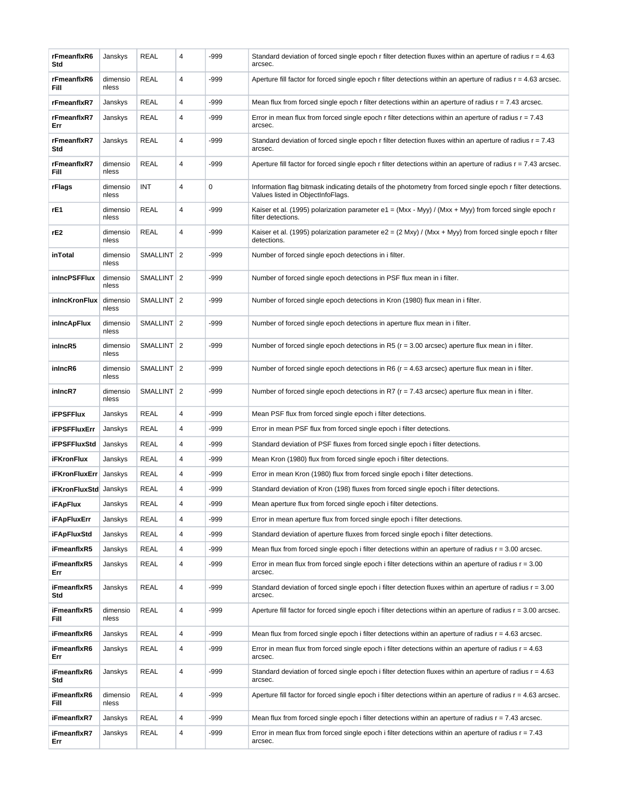| <b>REAL</b><br>4<br>-999<br>rFmeanflxR6<br>dimensio<br>Aperture fill factor for forced single epoch r filter detections within an aperture of radius $r = 4.63$ arcsec.<br>nless<br>Fill<br><b>REAL</b><br>4<br>-999<br>rFmeanflxR7<br>Janskys<br>Mean flux from forced single epoch r filter detections within an aperture of radius $r = 7.43$ arcsec.<br><b>REAL</b><br>-999<br>rFmeanflxR7<br>4<br>Error in mean flux from forced single epoch r filter detections within an aperture of radius $r = 7.43$<br>Janskys<br>arcsec.<br>Err<br><b>REAL</b><br>4<br>-999<br>Standard deviation of forced single epoch r filter detection fluxes within an aperture of radius $r = 7.43$<br>rFmeanflxR7<br>Janskys<br>Std<br>arcsec.<br><b>REAL</b><br>4<br>-999<br>rFmeanflxR7<br>dimensio<br>Aperture fill factor for forced single epoch r filter detections within an aperture of radius $r = 7.43$ arcsec.<br>nless<br>Fill<br>INT<br>4<br>0<br>Information flag bitmask indicating details of the photometry from forced single epoch r filter detections.<br>rFlags<br>dimensio<br>Values listed in ObjectInfoFlags.<br>nless<br><b>REAL</b><br>4<br>-999<br>rE1<br>Kaiser et al. (1995) polarization parameter e1 = $(Mxx - Myy) / (Mxx + Myy)$ from forced single epoch r<br>dimensio<br>nless<br>filter detections.<br><b>REAL</b><br>4<br>-999<br>rE2<br>dimensio<br>Kaiser et al. (1995) polarization parameter e2 = (2 Mxy) / (Mxx + Myy) from forced single epoch r filter<br>nless<br>detections.<br>SMALLINT 2<br>-999<br>inTotal<br>dimensio<br>Number of forced single epoch detections in i filter.<br>nless<br>SMALLINT 2<br>-999<br>inIncPSFFlux<br>dimensio<br>Number of forced single epoch detections in PSF flux mean in i filter.<br>nless<br>SMALLINT 2<br>-999<br>inIncKronFlux<br>Number of forced single epoch detections in Kron (1980) flux mean in i filter.<br>dimensio<br>nless<br>SMALLINT 2<br>-999<br>dimensio<br>inIncApFlux<br>Number of forced single epoch detections in aperture flux mean in i filter.<br>nless<br>SMALLINT 2<br>-999<br>inIncR5<br>dimensio<br>Number of forced single epoch detections in R5 ( $r = 3.00$ arcsec) aperture flux mean in i filter.<br>nless<br>SMALLINT 2<br>-999<br>inIncR6<br>Number of forced single epoch detections in R6 ( $r = 4.63$ arcsec) aperture flux mean in i filter.<br>dimensio<br>nless<br>inIncR7<br>SMALLINT 2<br>-999<br>Number of forced single epoch detections in R7 ( $r = 7.43$ arcsec) aperture flux mean in i filter.<br>dimensio<br>nless<br><b>REAL</b><br>4<br>-999<br><b>iFPSFFlux</b><br>Mean PSF flux from forced single epoch i filter detections.<br>Janskys<br><b>REAL</b><br>4<br>-999<br>Error in mean PSF flux from forced single epoch i filter detections.<br><b>iFPSFFluxErr</b><br>Janskys<br><b>REAL</b><br>4<br>-999<br>Standard deviation of PSF fluxes from forced single epoch i filter detections.<br><b>iFPSFFluxStd</b><br>Janskys<br><b>REAL</b><br><b>iFKronFlux</b><br>4<br>-999<br>Mean Kron (1980) flux from forced single epoch i filter detections.<br>Janskys<br>4<br>REAL<br>-999<br>Error in mean Kron (1980) flux from forced single epoch i filter detections.<br><b>iFKronFluxErr</b><br>Janskys<br><b>REAL</b><br>4<br>-999<br>Standard deviation of Kron (198) fluxes from forced single epoch i filter detections.<br><b>iFKronFluxStd</b> Janskys<br><b>iFApFlux</b><br>Janskys<br>REAL<br>4<br>-999<br>Mean aperture flux from forced single epoch i filter detections.<br><b>REAL</b><br>4<br><b>iFApFluxErr</b><br>Janskys<br>-999<br>Error in mean aperture flux from forced single epoch i filter detections.<br><b>REAL</b><br>4<br>-999<br>Janskys<br>Standard deviation of aperture fluxes from forced single epoch i filter detections.<br><b>iFApFluxStd</b><br><b>REAL</b><br>4<br>-999<br>iFmeanflxR5<br>Janskys<br>Mean flux from forced single epoch i filter detections within an aperture of radius $r = 3.00$ arcsec.<br><b>REAL</b><br>4<br>-999<br>iFmeanflxR5<br>Janskys<br>Error in mean flux from forced single epoch i filter detections within an aperture of radius $r = 3.00$<br>Err<br>arcsec.<br><b>REAL</b><br>4<br>-999<br>iFmeanflxR5<br>Janskys<br>Standard deviation of forced single epoch i filter detection fluxes within an aperture of radius $r = 3.00$<br>Std<br>arcsec.<br><b>REAL</b><br>4<br>-999<br>dimensio<br>Aperture fill factor for forced single epoch i filter detections within an aperture of radius $r = 3.00$ arcsec.<br>iFmeanflxR5<br>Fill<br>nless<br><b>REAL</b><br>4<br>-999<br>iFmeanflxR6<br>Janskys<br>Mean flux from forced single epoch i filter detections within an aperture of radius $r = 4.63$ arcsec.<br><b>REAL</b><br>4<br>-999<br>iFmeanflxR6<br>Janskys<br>Error in mean flux from forced single epoch i filter detections within an aperture of radius $r = 4.63$<br>Err<br>arcsec.<br><b>REAL</b><br>4<br>-999<br>Standard deviation of forced single epoch i filter detection fluxes within an aperture of radius $r = 4.63$<br>iFmeanflxR6<br>Janskys<br>Std<br>arcsec.<br><b>REAL</b><br>4<br>-999<br>dimensio<br>Aperture fill factor for forced single epoch i filter detections within an aperture of radius $r = 4.63$ arcsec.<br>iFmeanflxR6<br>Fill<br>nless<br><b>REAL</b><br>4<br>-999<br>iFmeanflxR7<br>Janskys<br>Mean flux from forced single epoch i filter detections within an aperture of radius $r = 7.43$ arcsec.<br><b>REAL</b><br>4<br>-999<br>Janskys<br>Error in mean flux from forced single epoch i filter detections within an aperture of radius $r = 7.43$<br>iFmeanflxR7<br>Err<br>arcsec. | rFmeanflxR6<br>Std | Janskys | <b>REAL</b> | 4 | -999 | Standard deviation of forced single epoch r filter detection fluxes within an aperture of radius $r = 4.63$<br>arcsec. |
|------------------------------------------------------------------------------------------------------------------------------------------------------------------------------------------------------------------------------------------------------------------------------------------------------------------------------------------------------------------------------------------------------------------------------------------------------------------------------------------------------------------------------------------------------------------------------------------------------------------------------------------------------------------------------------------------------------------------------------------------------------------------------------------------------------------------------------------------------------------------------------------------------------------------------------------------------------------------------------------------------------------------------------------------------------------------------------------------------------------------------------------------------------------------------------------------------------------------------------------------------------------------------------------------------------------------------------------------------------------------------------------------------------------------------------------------------------------------------------------------------------------------------------------------------------------------------------------------------------------------------------------------------------------------------------------------------------------------------------------------------------------------------------------------------------------------------------------------------------------------------------------------------------------------------------------------------------------------------------------------------------------------------------------------------------------------------------------------------------------------------------------------------------------------------------------------------------------------------------------------------------------------------------------------------------------------------------------------------------------------------------------------------------------------------------------------------------------------------------------------------------------------------------------------------------------------------------------------------------------------------------------------------------------------------------------------------------------------------------------------------------------------------------------------------------------------------------------------------------------------------------------------------------------------------------------------------------------------------------------------------------------------------------------------------------------------------------------------------------------------------------------------------------------------------------------------------------------------------------------------------------------------------------------------------------------------------------------------------------------------------------------------------------------------------------------------------------------------------------------------------------------------------------------------------------------------------------------------------------------------------------------------------------------------------------------------------------------------------------------------------------------------------------------------------------------------------------------------------------------------------------------------------------------------------------------------------------------------------------------------------------------------------------------------------------------------------------------------------------------------------------------------------------------------------------------------------------------------------------------------------------------------------------------------------------------------------------------------------------------------------------------------------------------------------------------------------------------------------------------------------------------------------------------------------------------------------------------------------------------------------------------------------------------------------------------------------------------------------------------------------------------------------------------------------------------------------------------------------------------------------------------------------------------------------------------------------------------------------------------------------------------------------------------------------------------------------------------------------------------------------------------------------------------------------------------------------------------------------------------------------------------------------------------------------------------------------------------------------------------------------------------------------------------------------------------------------------------------------------------------------------------------------------------------------------------------------------------------------------------------------------------------------|--------------------|---------|-------------|---|------|------------------------------------------------------------------------------------------------------------------------|
|                                                                                                                                                                                                                                                                                                                                                                                                                                                                                                                                                                                                                                                                                                                                                                                                                                                                                                                                                                                                                                                                                                                                                                                                                                                                                                                                                                                                                                                                                                                                                                                                                                                                                                                                                                                                                                                                                                                                                                                                                                                                                                                                                                                                                                                                                                                                                                                                                                                                                                                                                                                                                                                                                                                                                                                                                                                                                                                                                                                                                                                                                                                                                                                                                                                                                                                                                                                                                                                                                                                                                                                                                                                                                                                                                                                                                                                                                                                                                                                                                                                                                                                                                                                                                                                                                                                                                                                                                                                                                                                                                                                                                                                                                                                                                                                                                                                                                                                                                                                                                                                                                                                                                                                                                                                                                                                                                                                                                                                                                                                                                                                                                                                      |                    |         |             |   |      |                                                                                                                        |
|                                                                                                                                                                                                                                                                                                                                                                                                                                                                                                                                                                                                                                                                                                                                                                                                                                                                                                                                                                                                                                                                                                                                                                                                                                                                                                                                                                                                                                                                                                                                                                                                                                                                                                                                                                                                                                                                                                                                                                                                                                                                                                                                                                                                                                                                                                                                                                                                                                                                                                                                                                                                                                                                                                                                                                                                                                                                                                                                                                                                                                                                                                                                                                                                                                                                                                                                                                                                                                                                                                                                                                                                                                                                                                                                                                                                                                                                                                                                                                                                                                                                                                                                                                                                                                                                                                                                                                                                                                                                                                                                                                                                                                                                                                                                                                                                                                                                                                                                                                                                                                                                                                                                                                                                                                                                                                                                                                                                                                                                                                                                                                                                                                                      |                    |         |             |   |      |                                                                                                                        |
|                                                                                                                                                                                                                                                                                                                                                                                                                                                                                                                                                                                                                                                                                                                                                                                                                                                                                                                                                                                                                                                                                                                                                                                                                                                                                                                                                                                                                                                                                                                                                                                                                                                                                                                                                                                                                                                                                                                                                                                                                                                                                                                                                                                                                                                                                                                                                                                                                                                                                                                                                                                                                                                                                                                                                                                                                                                                                                                                                                                                                                                                                                                                                                                                                                                                                                                                                                                                                                                                                                                                                                                                                                                                                                                                                                                                                                                                                                                                                                                                                                                                                                                                                                                                                                                                                                                                                                                                                                                                                                                                                                                                                                                                                                                                                                                                                                                                                                                                                                                                                                                                                                                                                                                                                                                                                                                                                                                                                                                                                                                                                                                                                                                      |                    |         |             |   |      |                                                                                                                        |
|                                                                                                                                                                                                                                                                                                                                                                                                                                                                                                                                                                                                                                                                                                                                                                                                                                                                                                                                                                                                                                                                                                                                                                                                                                                                                                                                                                                                                                                                                                                                                                                                                                                                                                                                                                                                                                                                                                                                                                                                                                                                                                                                                                                                                                                                                                                                                                                                                                                                                                                                                                                                                                                                                                                                                                                                                                                                                                                                                                                                                                                                                                                                                                                                                                                                                                                                                                                                                                                                                                                                                                                                                                                                                                                                                                                                                                                                                                                                                                                                                                                                                                                                                                                                                                                                                                                                                                                                                                                                                                                                                                                                                                                                                                                                                                                                                                                                                                                                                                                                                                                                                                                                                                                                                                                                                                                                                                                                                                                                                                                                                                                                                                                      |                    |         |             |   |      |                                                                                                                        |
|                                                                                                                                                                                                                                                                                                                                                                                                                                                                                                                                                                                                                                                                                                                                                                                                                                                                                                                                                                                                                                                                                                                                                                                                                                                                                                                                                                                                                                                                                                                                                                                                                                                                                                                                                                                                                                                                                                                                                                                                                                                                                                                                                                                                                                                                                                                                                                                                                                                                                                                                                                                                                                                                                                                                                                                                                                                                                                                                                                                                                                                                                                                                                                                                                                                                                                                                                                                                                                                                                                                                                                                                                                                                                                                                                                                                                                                                                                                                                                                                                                                                                                                                                                                                                                                                                                                                                                                                                                                                                                                                                                                                                                                                                                                                                                                                                                                                                                                                                                                                                                                                                                                                                                                                                                                                                                                                                                                                                                                                                                                                                                                                                                                      |                    |         |             |   |      |                                                                                                                        |
|                                                                                                                                                                                                                                                                                                                                                                                                                                                                                                                                                                                                                                                                                                                                                                                                                                                                                                                                                                                                                                                                                                                                                                                                                                                                                                                                                                                                                                                                                                                                                                                                                                                                                                                                                                                                                                                                                                                                                                                                                                                                                                                                                                                                                                                                                                                                                                                                                                                                                                                                                                                                                                                                                                                                                                                                                                                                                                                                                                                                                                                                                                                                                                                                                                                                                                                                                                                                                                                                                                                                                                                                                                                                                                                                                                                                                                                                                                                                                                                                                                                                                                                                                                                                                                                                                                                                                                                                                                                                                                                                                                                                                                                                                                                                                                                                                                                                                                                                                                                                                                                                                                                                                                                                                                                                                                                                                                                                                                                                                                                                                                                                                                                      |                    |         |             |   |      |                                                                                                                        |
|                                                                                                                                                                                                                                                                                                                                                                                                                                                                                                                                                                                                                                                                                                                                                                                                                                                                                                                                                                                                                                                                                                                                                                                                                                                                                                                                                                                                                                                                                                                                                                                                                                                                                                                                                                                                                                                                                                                                                                                                                                                                                                                                                                                                                                                                                                                                                                                                                                                                                                                                                                                                                                                                                                                                                                                                                                                                                                                                                                                                                                                                                                                                                                                                                                                                                                                                                                                                                                                                                                                                                                                                                                                                                                                                                                                                                                                                                                                                                                                                                                                                                                                                                                                                                                                                                                                                                                                                                                                                                                                                                                                                                                                                                                                                                                                                                                                                                                                                                                                                                                                                                                                                                                                                                                                                                                                                                                                                                                                                                                                                                                                                                                                      |                    |         |             |   |      |                                                                                                                        |
|                                                                                                                                                                                                                                                                                                                                                                                                                                                                                                                                                                                                                                                                                                                                                                                                                                                                                                                                                                                                                                                                                                                                                                                                                                                                                                                                                                                                                                                                                                                                                                                                                                                                                                                                                                                                                                                                                                                                                                                                                                                                                                                                                                                                                                                                                                                                                                                                                                                                                                                                                                                                                                                                                                                                                                                                                                                                                                                                                                                                                                                                                                                                                                                                                                                                                                                                                                                                                                                                                                                                                                                                                                                                                                                                                                                                                                                                                                                                                                                                                                                                                                                                                                                                                                                                                                                                                                                                                                                                                                                                                                                                                                                                                                                                                                                                                                                                                                                                                                                                                                                                                                                                                                                                                                                                                                                                                                                                                                                                                                                                                                                                                                                      |                    |         |             |   |      |                                                                                                                        |
|                                                                                                                                                                                                                                                                                                                                                                                                                                                                                                                                                                                                                                                                                                                                                                                                                                                                                                                                                                                                                                                                                                                                                                                                                                                                                                                                                                                                                                                                                                                                                                                                                                                                                                                                                                                                                                                                                                                                                                                                                                                                                                                                                                                                                                                                                                                                                                                                                                                                                                                                                                                                                                                                                                                                                                                                                                                                                                                                                                                                                                                                                                                                                                                                                                                                                                                                                                                                                                                                                                                                                                                                                                                                                                                                                                                                                                                                                                                                                                                                                                                                                                                                                                                                                                                                                                                                                                                                                                                                                                                                                                                                                                                                                                                                                                                                                                                                                                                                                                                                                                                                                                                                                                                                                                                                                                                                                                                                                                                                                                                                                                                                                                                      |                    |         |             |   |      |                                                                                                                        |
|                                                                                                                                                                                                                                                                                                                                                                                                                                                                                                                                                                                                                                                                                                                                                                                                                                                                                                                                                                                                                                                                                                                                                                                                                                                                                                                                                                                                                                                                                                                                                                                                                                                                                                                                                                                                                                                                                                                                                                                                                                                                                                                                                                                                                                                                                                                                                                                                                                                                                                                                                                                                                                                                                                                                                                                                                                                                                                                                                                                                                                                                                                                                                                                                                                                                                                                                                                                                                                                                                                                                                                                                                                                                                                                                                                                                                                                                                                                                                                                                                                                                                                                                                                                                                                                                                                                                                                                                                                                                                                                                                                                                                                                                                                                                                                                                                                                                                                                                                                                                                                                                                                                                                                                                                                                                                                                                                                                                                                                                                                                                                                                                                                                      |                    |         |             |   |      |                                                                                                                        |
|                                                                                                                                                                                                                                                                                                                                                                                                                                                                                                                                                                                                                                                                                                                                                                                                                                                                                                                                                                                                                                                                                                                                                                                                                                                                                                                                                                                                                                                                                                                                                                                                                                                                                                                                                                                                                                                                                                                                                                                                                                                                                                                                                                                                                                                                                                                                                                                                                                                                                                                                                                                                                                                                                                                                                                                                                                                                                                                                                                                                                                                                                                                                                                                                                                                                                                                                                                                                                                                                                                                                                                                                                                                                                                                                                                                                                                                                                                                                                                                                                                                                                                                                                                                                                                                                                                                                                                                                                                                                                                                                                                                                                                                                                                                                                                                                                                                                                                                                                                                                                                                                                                                                                                                                                                                                                                                                                                                                                                                                                                                                                                                                                                                      |                    |         |             |   |      |                                                                                                                        |
|                                                                                                                                                                                                                                                                                                                                                                                                                                                                                                                                                                                                                                                                                                                                                                                                                                                                                                                                                                                                                                                                                                                                                                                                                                                                                                                                                                                                                                                                                                                                                                                                                                                                                                                                                                                                                                                                                                                                                                                                                                                                                                                                                                                                                                                                                                                                                                                                                                                                                                                                                                                                                                                                                                                                                                                                                                                                                                                                                                                                                                                                                                                                                                                                                                                                                                                                                                                                                                                                                                                                                                                                                                                                                                                                                                                                                                                                                                                                                                                                                                                                                                                                                                                                                                                                                                                                                                                                                                                                                                                                                                                                                                                                                                                                                                                                                                                                                                                                                                                                                                                                                                                                                                                                                                                                                                                                                                                                                                                                                                                                                                                                                                                      |                    |         |             |   |      |                                                                                                                        |
|                                                                                                                                                                                                                                                                                                                                                                                                                                                                                                                                                                                                                                                                                                                                                                                                                                                                                                                                                                                                                                                                                                                                                                                                                                                                                                                                                                                                                                                                                                                                                                                                                                                                                                                                                                                                                                                                                                                                                                                                                                                                                                                                                                                                                                                                                                                                                                                                                                                                                                                                                                                                                                                                                                                                                                                                                                                                                                                                                                                                                                                                                                                                                                                                                                                                                                                                                                                                                                                                                                                                                                                                                                                                                                                                                                                                                                                                                                                                                                                                                                                                                                                                                                                                                                                                                                                                                                                                                                                                                                                                                                                                                                                                                                                                                                                                                                                                                                                                                                                                                                                                                                                                                                                                                                                                                                                                                                                                                                                                                                                                                                                                                                                      |                    |         |             |   |      |                                                                                                                        |
|                                                                                                                                                                                                                                                                                                                                                                                                                                                                                                                                                                                                                                                                                                                                                                                                                                                                                                                                                                                                                                                                                                                                                                                                                                                                                                                                                                                                                                                                                                                                                                                                                                                                                                                                                                                                                                                                                                                                                                                                                                                                                                                                                                                                                                                                                                                                                                                                                                                                                                                                                                                                                                                                                                                                                                                                                                                                                                                                                                                                                                                                                                                                                                                                                                                                                                                                                                                                                                                                                                                                                                                                                                                                                                                                                                                                                                                                                                                                                                                                                                                                                                                                                                                                                                                                                                                                                                                                                                                                                                                                                                                                                                                                                                                                                                                                                                                                                                                                                                                                                                                                                                                                                                                                                                                                                                                                                                                                                                                                                                                                                                                                                                                      |                    |         |             |   |      |                                                                                                                        |
|                                                                                                                                                                                                                                                                                                                                                                                                                                                                                                                                                                                                                                                                                                                                                                                                                                                                                                                                                                                                                                                                                                                                                                                                                                                                                                                                                                                                                                                                                                                                                                                                                                                                                                                                                                                                                                                                                                                                                                                                                                                                                                                                                                                                                                                                                                                                                                                                                                                                                                                                                                                                                                                                                                                                                                                                                                                                                                                                                                                                                                                                                                                                                                                                                                                                                                                                                                                                                                                                                                                                                                                                                                                                                                                                                                                                                                                                                                                                                                                                                                                                                                                                                                                                                                                                                                                                                                                                                                                                                                                                                                                                                                                                                                                                                                                                                                                                                                                                                                                                                                                                                                                                                                                                                                                                                                                                                                                                                                                                                                                                                                                                                                                      |                    |         |             |   |      |                                                                                                                        |
|                                                                                                                                                                                                                                                                                                                                                                                                                                                                                                                                                                                                                                                                                                                                                                                                                                                                                                                                                                                                                                                                                                                                                                                                                                                                                                                                                                                                                                                                                                                                                                                                                                                                                                                                                                                                                                                                                                                                                                                                                                                                                                                                                                                                                                                                                                                                                                                                                                                                                                                                                                                                                                                                                                                                                                                                                                                                                                                                                                                                                                                                                                                                                                                                                                                                                                                                                                                                                                                                                                                                                                                                                                                                                                                                                                                                                                                                                                                                                                                                                                                                                                                                                                                                                                                                                                                                                                                                                                                                                                                                                                                                                                                                                                                                                                                                                                                                                                                                                                                                                                                                                                                                                                                                                                                                                                                                                                                                                                                                                                                                                                                                                                                      |                    |         |             |   |      |                                                                                                                        |
|                                                                                                                                                                                                                                                                                                                                                                                                                                                                                                                                                                                                                                                                                                                                                                                                                                                                                                                                                                                                                                                                                                                                                                                                                                                                                                                                                                                                                                                                                                                                                                                                                                                                                                                                                                                                                                                                                                                                                                                                                                                                                                                                                                                                                                                                                                                                                                                                                                                                                                                                                                                                                                                                                                                                                                                                                                                                                                                                                                                                                                                                                                                                                                                                                                                                                                                                                                                                                                                                                                                                                                                                                                                                                                                                                                                                                                                                                                                                                                                                                                                                                                                                                                                                                                                                                                                                                                                                                                                                                                                                                                                                                                                                                                                                                                                                                                                                                                                                                                                                                                                                                                                                                                                                                                                                                                                                                                                                                                                                                                                                                                                                                                                      |                    |         |             |   |      |                                                                                                                        |
|                                                                                                                                                                                                                                                                                                                                                                                                                                                                                                                                                                                                                                                                                                                                                                                                                                                                                                                                                                                                                                                                                                                                                                                                                                                                                                                                                                                                                                                                                                                                                                                                                                                                                                                                                                                                                                                                                                                                                                                                                                                                                                                                                                                                                                                                                                                                                                                                                                                                                                                                                                                                                                                                                                                                                                                                                                                                                                                                                                                                                                                                                                                                                                                                                                                                                                                                                                                                                                                                                                                                                                                                                                                                                                                                                                                                                                                                                                                                                                                                                                                                                                                                                                                                                                                                                                                                                                                                                                                                                                                                                                                                                                                                                                                                                                                                                                                                                                                                                                                                                                                                                                                                                                                                                                                                                                                                                                                                                                                                                                                                                                                                                                                      |                    |         |             |   |      |                                                                                                                        |
|                                                                                                                                                                                                                                                                                                                                                                                                                                                                                                                                                                                                                                                                                                                                                                                                                                                                                                                                                                                                                                                                                                                                                                                                                                                                                                                                                                                                                                                                                                                                                                                                                                                                                                                                                                                                                                                                                                                                                                                                                                                                                                                                                                                                                                                                                                                                                                                                                                                                                                                                                                                                                                                                                                                                                                                                                                                                                                                                                                                                                                                                                                                                                                                                                                                                                                                                                                                                                                                                                                                                                                                                                                                                                                                                                                                                                                                                                                                                                                                                                                                                                                                                                                                                                                                                                                                                                                                                                                                                                                                                                                                                                                                                                                                                                                                                                                                                                                                                                                                                                                                                                                                                                                                                                                                                                                                                                                                                                                                                                                                                                                                                                                                      |                    |         |             |   |      |                                                                                                                        |
|                                                                                                                                                                                                                                                                                                                                                                                                                                                                                                                                                                                                                                                                                                                                                                                                                                                                                                                                                                                                                                                                                                                                                                                                                                                                                                                                                                                                                                                                                                                                                                                                                                                                                                                                                                                                                                                                                                                                                                                                                                                                                                                                                                                                                                                                                                                                                                                                                                                                                                                                                                                                                                                                                                                                                                                                                                                                                                                                                                                                                                                                                                                                                                                                                                                                                                                                                                                                                                                                                                                                                                                                                                                                                                                                                                                                                                                                                                                                                                                                                                                                                                                                                                                                                                                                                                                                                                                                                                                                                                                                                                                                                                                                                                                                                                                                                                                                                                                                                                                                                                                                                                                                                                                                                                                                                                                                                                                                                                                                                                                                                                                                                                                      |                    |         |             |   |      |                                                                                                                        |
|                                                                                                                                                                                                                                                                                                                                                                                                                                                                                                                                                                                                                                                                                                                                                                                                                                                                                                                                                                                                                                                                                                                                                                                                                                                                                                                                                                                                                                                                                                                                                                                                                                                                                                                                                                                                                                                                                                                                                                                                                                                                                                                                                                                                                                                                                                                                                                                                                                                                                                                                                                                                                                                                                                                                                                                                                                                                                                                                                                                                                                                                                                                                                                                                                                                                                                                                                                                                                                                                                                                                                                                                                                                                                                                                                                                                                                                                                                                                                                                                                                                                                                                                                                                                                                                                                                                                                                                                                                                                                                                                                                                                                                                                                                                                                                                                                                                                                                                                                                                                                                                                                                                                                                                                                                                                                                                                                                                                                                                                                                                                                                                                                                                      |                    |         |             |   |      |                                                                                                                        |
|                                                                                                                                                                                                                                                                                                                                                                                                                                                                                                                                                                                                                                                                                                                                                                                                                                                                                                                                                                                                                                                                                                                                                                                                                                                                                                                                                                                                                                                                                                                                                                                                                                                                                                                                                                                                                                                                                                                                                                                                                                                                                                                                                                                                                                                                                                                                                                                                                                                                                                                                                                                                                                                                                                                                                                                                                                                                                                                                                                                                                                                                                                                                                                                                                                                                                                                                                                                                                                                                                                                                                                                                                                                                                                                                                                                                                                                                                                                                                                                                                                                                                                                                                                                                                                                                                                                                                                                                                                                                                                                                                                                                                                                                                                                                                                                                                                                                                                                                                                                                                                                                                                                                                                                                                                                                                                                                                                                                                                                                                                                                                                                                                                                      |                    |         |             |   |      |                                                                                                                        |
|                                                                                                                                                                                                                                                                                                                                                                                                                                                                                                                                                                                                                                                                                                                                                                                                                                                                                                                                                                                                                                                                                                                                                                                                                                                                                                                                                                                                                                                                                                                                                                                                                                                                                                                                                                                                                                                                                                                                                                                                                                                                                                                                                                                                                                                                                                                                                                                                                                                                                                                                                                                                                                                                                                                                                                                                                                                                                                                                                                                                                                                                                                                                                                                                                                                                                                                                                                                                                                                                                                                                                                                                                                                                                                                                                                                                                                                                                                                                                                                                                                                                                                                                                                                                                                                                                                                                                                                                                                                                                                                                                                                                                                                                                                                                                                                                                                                                                                                                                                                                                                                                                                                                                                                                                                                                                                                                                                                                                                                                                                                                                                                                                                                      |                    |         |             |   |      |                                                                                                                        |
|                                                                                                                                                                                                                                                                                                                                                                                                                                                                                                                                                                                                                                                                                                                                                                                                                                                                                                                                                                                                                                                                                                                                                                                                                                                                                                                                                                                                                                                                                                                                                                                                                                                                                                                                                                                                                                                                                                                                                                                                                                                                                                                                                                                                                                                                                                                                                                                                                                                                                                                                                                                                                                                                                                                                                                                                                                                                                                                                                                                                                                                                                                                                                                                                                                                                                                                                                                                                                                                                                                                                                                                                                                                                                                                                                                                                                                                                                                                                                                                                                                                                                                                                                                                                                                                                                                                                                                                                                                                                                                                                                                                                                                                                                                                                                                                                                                                                                                                                                                                                                                                                                                                                                                                                                                                                                                                                                                                                                                                                                                                                                                                                                                                      |                    |         |             |   |      |                                                                                                                        |
|                                                                                                                                                                                                                                                                                                                                                                                                                                                                                                                                                                                                                                                                                                                                                                                                                                                                                                                                                                                                                                                                                                                                                                                                                                                                                                                                                                                                                                                                                                                                                                                                                                                                                                                                                                                                                                                                                                                                                                                                                                                                                                                                                                                                                                                                                                                                                                                                                                                                                                                                                                                                                                                                                                                                                                                                                                                                                                                                                                                                                                                                                                                                                                                                                                                                                                                                                                                                                                                                                                                                                                                                                                                                                                                                                                                                                                                                                                                                                                                                                                                                                                                                                                                                                                                                                                                                                                                                                                                                                                                                                                                                                                                                                                                                                                                                                                                                                                                                                                                                                                                                                                                                                                                                                                                                                                                                                                                                                                                                                                                                                                                                                                                      |                    |         |             |   |      |                                                                                                                        |
|                                                                                                                                                                                                                                                                                                                                                                                                                                                                                                                                                                                                                                                                                                                                                                                                                                                                                                                                                                                                                                                                                                                                                                                                                                                                                                                                                                                                                                                                                                                                                                                                                                                                                                                                                                                                                                                                                                                                                                                                                                                                                                                                                                                                                                                                                                                                                                                                                                                                                                                                                                                                                                                                                                                                                                                                                                                                                                                                                                                                                                                                                                                                                                                                                                                                                                                                                                                                                                                                                                                                                                                                                                                                                                                                                                                                                                                                                                                                                                                                                                                                                                                                                                                                                                                                                                                                                                                                                                                                                                                                                                                                                                                                                                                                                                                                                                                                                                                                                                                                                                                                                                                                                                                                                                                                                                                                                                                                                                                                                                                                                                                                                                                      |                    |         |             |   |      |                                                                                                                        |
|                                                                                                                                                                                                                                                                                                                                                                                                                                                                                                                                                                                                                                                                                                                                                                                                                                                                                                                                                                                                                                                                                                                                                                                                                                                                                                                                                                                                                                                                                                                                                                                                                                                                                                                                                                                                                                                                                                                                                                                                                                                                                                                                                                                                                                                                                                                                                                                                                                                                                                                                                                                                                                                                                                                                                                                                                                                                                                                                                                                                                                                                                                                                                                                                                                                                                                                                                                                                                                                                                                                                                                                                                                                                                                                                                                                                                                                                                                                                                                                                                                                                                                                                                                                                                                                                                                                                                                                                                                                                                                                                                                                                                                                                                                                                                                                                                                                                                                                                                                                                                                                                                                                                                                                                                                                                                                                                                                                                                                                                                                                                                                                                                                                      |                    |         |             |   |      |                                                                                                                        |
|                                                                                                                                                                                                                                                                                                                                                                                                                                                                                                                                                                                                                                                                                                                                                                                                                                                                                                                                                                                                                                                                                                                                                                                                                                                                                                                                                                                                                                                                                                                                                                                                                                                                                                                                                                                                                                                                                                                                                                                                                                                                                                                                                                                                                                                                                                                                                                                                                                                                                                                                                                                                                                                                                                                                                                                                                                                                                                                                                                                                                                                                                                                                                                                                                                                                                                                                                                                                                                                                                                                                                                                                                                                                                                                                                                                                                                                                                                                                                                                                                                                                                                                                                                                                                                                                                                                                                                                                                                                                                                                                                                                                                                                                                                                                                                                                                                                                                                                                                                                                                                                                                                                                                                                                                                                                                                                                                                                                                                                                                                                                                                                                                                                      |                    |         |             |   |      |                                                                                                                        |
|                                                                                                                                                                                                                                                                                                                                                                                                                                                                                                                                                                                                                                                                                                                                                                                                                                                                                                                                                                                                                                                                                                                                                                                                                                                                                                                                                                                                                                                                                                                                                                                                                                                                                                                                                                                                                                                                                                                                                                                                                                                                                                                                                                                                                                                                                                                                                                                                                                                                                                                                                                                                                                                                                                                                                                                                                                                                                                                                                                                                                                                                                                                                                                                                                                                                                                                                                                                                                                                                                                                                                                                                                                                                                                                                                                                                                                                                                                                                                                                                                                                                                                                                                                                                                                                                                                                                                                                                                                                                                                                                                                                                                                                                                                                                                                                                                                                                                                                                                                                                                                                                                                                                                                                                                                                                                                                                                                                                                                                                                                                                                                                                                                                      |                    |         |             |   |      |                                                                                                                        |
|                                                                                                                                                                                                                                                                                                                                                                                                                                                                                                                                                                                                                                                                                                                                                                                                                                                                                                                                                                                                                                                                                                                                                                                                                                                                                                                                                                                                                                                                                                                                                                                                                                                                                                                                                                                                                                                                                                                                                                                                                                                                                                                                                                                                                                                                                                                                                                                                                                                                                                                                                                                                                                                                                                                                                                                                                                                                                                                                                                                                                                                                                                                                                                                                                                                                                                                                                                                                                                                                                                                                                                                                                                                                                                                                                                                                                                                                                                                                                                                                                                                                                                                                                                                                                                                                                                                                                                                                                                                                                                                                                                                                                                                                                                                                                                                                                                                                                                                                                                                                                                                                                                                                                                                                                                                                                                                                                                                                                                                                                                                                                                                                                                                      |                    |         |             |   |      |                                                                                                                        |
|                                                                                                                                                                                                                                                                                                                                                                                                                                                                                                                                                                                                                                                                                                                                                                                                                                                                                                                                                                                                                                                                                                                                                                                                                                                                                                                                                                                                                                                                                                                                                                                                                                                                                                                                                                                                                                                                                                                                                                                                                                                                                                                                                                                                                                                                                                                                                                                                                                                                                                                                                                                                                                                                                                                                                                                                                                                                                                                                                                                                                                                                                                                                                                                                                                                                                                                                                                                                                                                                                                                                                                                                                                                                                                                                                                                                                                                                                                                                                                                                                                                                                                                                                                                                                                                                                                                                                                                                                                                                                                                                                                                                                                                                                                                                                                                                                                                                                                                                                                                                                                                                                                                                                                                                                                                                                                                                                                                                                                                                                                                                                                                                                                                      |                    |         |             |   |      |                                                                                                                        |
|                                                                                                                                                                                                                                                                                                                                                                                                                                                                                                                                                                                                                                                                                                                                                                                                                                                                                                                                                                                                                                                                                                                                                                                                                                                                                                                                                                                                                                                                                                                                                                                                                                                                                                                                                                                                                                                                                                                                                                                                                                                                                                                                                                                                                                                                                                                                                                                                                                                                                                                                                                                                                                                                                                                                                                                                                                                                                                                                                                                                                                                                                                                                                                                                                                                                                                                                                                                                                                                                                                                                                                                                                                                                                                                                                                                                                                                                                                                                                                                                                                                                                                                                                                                                                                                                                                                                                                                                                                                                                                                                                                                                                                                                                                                                                                                                                                                                                                                                                                                                                                                                                                                                                                                                                                                                                                                                                                                                                                                                                                                                                                                                                                                      |                    |         |             |   |      |                                                                                                                        |
|                                                                                                                                                                                                                                                                                                                                                                                                                                                                                                                                                                                                                                                                                                                                                                                                                                                                                                                                                                                                                                                                                                                                                                                                                                                                                                                                                                                                                                                                                                                                                                                                                                                                                                                                                                                                                                                                                                                                                                                                                                                                                                                                                                                                                                                                                                                                                                                                                                                                                                                                                                                                                                                                                                                                                                                                                                                                                                                                                                                                                                                                                                                                                                                                                                                                                                                                                                                                                                                                                                                                                                                                                                                                                                                                                                                                                                                                                                                                                                                                                                                                                                                                                                                                                                                                                                                                                                                                                                                                                                                                                                                                                                                                                                                                                                                                                                                                                                                                                                                                                                                                                                                                                                                                                                                                                                                                                                                                                                                                                                                                                                                                                                                      |                    |         |             |   |      |                                                                                                                        |
|                                                                                                                                                                                                                                                                                                                                                                                                                                                                                                                                                                                                                                                                                                                                                                                                                                                                                                                                                                                                                                                                                                                                                                                                                                                                                                                                                                                                                                                                                                                                                                                                                                                                                                                                                                                                                                                                                                                                                                                                                                                                                                                                                                                                                                                                                                                                                                                                                                                                                                                                                                                                                                                                                                                                                                                                                                                                                                                                                                                                                                                                                                                                                                                                                                                                                                                                                                                                                                                                                                                                                                                                                                                                                                                                                                                                                                                                                                                                                                                                                                                                                                                                                                                                                                                                                                                                                                                                                                                                                                                                                                                                                                                                                                                                                                                                                                                                                                                                                                                                                                                                                                                                                                                                                                                                                                                                                                                                                                                                                                                                                                                                                                                      |                    |         |             |   |      |                                                                                                                        |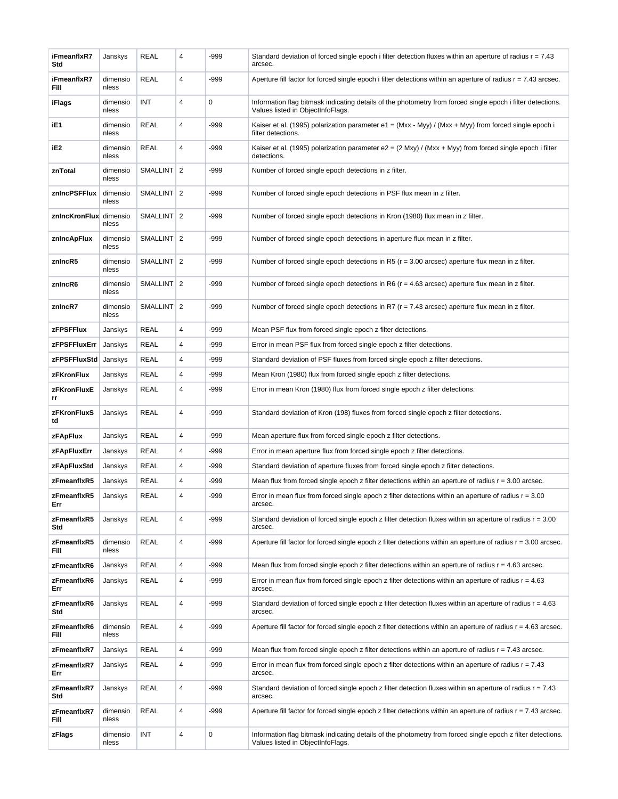| iFmeanflxR7<br>Std     | Janskys           | <b>REAL</b>     | 4              | -999        | Standard deviation of forced single epoch i filter detection fluxes within an aperture of radius $r = 7.43$<br>arcsec.                           |
|------------------------|-------------------|-----------------|----------------|-------------|--------------------------------------------------------------------------------------------------------------------------------------------------|
| iFmeanflxR7<br>Fill    | dimensio<br>nless | <b>REAL</b>     | 4              | -999        | Aperture fill factor for forced single epoch i filter detections within an aperture of radius $r = 7.43$ arcsec.                                 |
| iFlags                 | dimensio<br>nless | INT             | 4              | $\mathbf 0$ | Information flag bitmask indicating details of the photometry from forced single epoch i filter detections.<br>Values listed in ObjectInfoFlags. |
| iE1                    | dimensio<br>nless | <b>REAL</b>     | 4              | $-999$      | Kaiser et al. (1995) polarization parameter e1 = $(Mxx - Myy) / (Mxx + Myy)$ from forced single epoch i<br>filter detections.                    |
| iE2                    | dimensio<br>nless | <b>REAL</b>     | 4              | -999        | Kaiser et al. (1995) polarization parameter e2 = $(2 \text{ Mxy}) / (Mxx + Myy)$ from forced single epoch i filter<br>detections.                |
| znTotal                | dimensio<br>nless | <b>SMALLINT</b> | $\overline{2}$ | -999        | Number of forced single epoch detections in z filter.                                                                                            |
| znIncPSFFlux           | dimensio<br>nless | SMALLINT 2      |                | -999        | Number of forced single epoch detections in PSF flux mean in z filter.                                                                           |
| znincKronFlux dimensio | nless             | SMALLINT   2    |                | -999        | Number of forced single epoch detections in Kron (1980) flux mean in z filter.                                                                   |
| znincApFlux            | dimensio<br>nless | SMALLINT 2      |                | -999        | Number of forced single epoch detections in aperture flux mean in z filter.                                                                      |
| znincR5                | dimensio<br>nless | SMALLINT 2      |                | $-999$      | Number of forced single epoch detections in R5 ( $r = 3.00$ arcsec) aperture flux mean in z filter.                                              |
| znincR6                | dimensio<br>nless | SMALLINT 2      |                | -999        | Number of forced single epoch detections in R6 ( $r = 4.63$ arcsec) aperture flux mean in z filter.                                              |
| znincR7                | dimensio<br>nless | SMALLINT 2      |                | -999        | Number of forced single epoch detections in R7 ( $r = 7.43$ arcsec) aperture flux mean in z filter.                                              |
| zFPSFFlux              | Janskys           | <b>REAL</b>     | 4              | -999        | Mean PSF flux from forced single epoch z filter detections.                                                                                      |
| zFPSFFluxErr           | Janskys           | <b>REAL</b>     | 4              | -999        | Error in mean PSF flux from forced single epoch z filter detections.                                                                             |
| zFPSFFluxStd           | Janskys           | <b>REAL</b>     | 4              | -999        | Standard deviation of PSF fluxes from forced single epoch z filter detections.                                                                   |
| zFKronFlux             | Janskys           | <b>REAL</b>     | 4              | -999        | Mean Kron (1980) flux from forced single epoch z filter detections.                                                                              |
| zFKronFluxE<br>rr      | Janskys           | <b>REAL</b>     | 4              | -999        | Error in mean Kron (1980) flux from forced single epoch z filter detections.                                                                     |
| zFKronFluxS<br>td      | Janskys           | <b>REAL</b>     | 4              | $-999$      | Standard deviation of Kron (198) fluxes from forced single epoch z filter detections.                                                            |
| <b>zFApFlux</b>        | Janskys           | <b>REAL</b>     | 4              | $-999$      | Mean aperture flux from forced single epoch z filter detections.                                                                                 |
| zFApFluxErr            | Janskys           | <b>REAL</b>     | 4              | -999        | Error in mean aperture flux from forced single epoch z filter detections.                                                                        |
| zFApFluxStd            | Janskys           | REAL            | 4              | -999        | Standard deviation of aperture fluxes from forced single epoch z filter detections.                                                              |
| zFmeanflxR5            | Janskys           | <b>REAL</b>     | 4              | -999        | Mean flux from forced single epoch z filter detections within an aperture of radius $r = 3.00$ arcsec.                                           |
| zFmeanflxR5<br>Err     | Janskys           | <b>REAL</b>     | 4              | -999        | Error in mean flux from forced single epoch z filter detections within an aperture of radius $r = 3.00$<br>arcsec.                               |
| zFmeanflxR5<br>Std     | Janskys           | <b>REAL</b>     | 4              | -999        | Standard deviation of forced single epoch z filter detection fluxes within an aperture of radius $r = 3.00$<br>arcsec.                           |
| zFmeanflxR5<br>Fill    | dimensio<br>nless | <b>REAL</b>     | 4              | -999        | Aperture fill factor for forced single epoch z filter detections within an aperture of radius $r = 3.00$ arcsec.                                 |
| zFmeanflxR6            | Janskys           | REAL            | 4              | -999        | Mean flux from forced single epoch z filter detections within an aperture of radius $r = 4.63$ arcsec.                                           |
| zFmeanflxR6<br>Err     | Janskys           | <b>REAL</b>     | 4              | -999        | Error in mean flux from forced single epoch z filter detections within an aperture of radius $r = 4.63$<br>arcsec.                               |
| zFmeanflxR6<br>Std     | Janskys           | <b>REAL</b>     | 4              | -999        | Standard deviation of forced single epoch z filter detection fluxes within an aperture of radius $r = 4.63$<br>arcsec.                           |
| zFmeanflxR6<br>Fill    | dimensio<br>nless | <b>REAL</b>     | 4              | -999        | Aperture fill factor for forced single epoch z filter detections within an aperture of radius $r = 4.63$ arcsec.                                 |
| zFmeanflxR7            | Janskys           | <b>REAL</b>     | 4              | -999        | Mean flux from forced single epoch z filter detections within an aperture of radius $r = 7.43$ arcsec.                                           |
| zFmeanflxR7<br>Err     | Janskys           | <b>REAL</b>     | 4              | -999        | Error in mean flux from forced single epoch z filter detections within an aperture of radius $r = 7.43$<br>arcsec.                               |
| zFmeanflxR7<br>Std     | Janskys           | <b>REAL</b>     | 4              | -999        | Standard deviation of forced single epoch z filter detection fluxes within an aperture of radius $r = 7.43$<br>arcsec.                           |
| zFmeanflxR7<br>Fill    | dimensio<br>nless | <b>REAL</b>     | 4              | -999        | Aperture fill factor for forced single epoch z filter detections within an aperture of radius $r = 7.43$ arcsec.                                 |
| zFlags                 | dimensio<br>nless | INT             | 4              | $\pmb{0}$   | Information flag bitmask indicating details of the photometry from forced single epoch z filter detections.<br>Values listed in ObjectInfoFlags. |